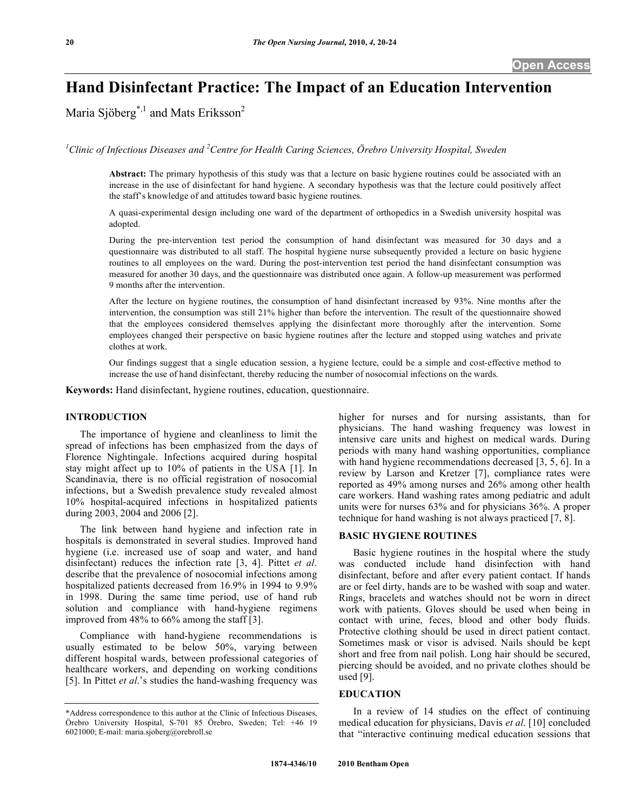# **Hand Disinfectant Practice: The Impact of an Education Intervention**

Maria Sjöberg<sup>\*,1</sup> and Mats Eriksson<sup>2</sup>

<sup>1</sup> Clinic of Infectious Diseases and <sup>2</sup> Centre for Health Caring Sciences, Örebro University Hospital, Sweden

**Abstract:** The primary hypothesis of this study was that a lecture on basic hygiene routines could be associated with an increase in the use of disinfectant for hand hygiene. A secondary hypothesis was that the lecture could positively affect the staff's knowledge of and attitudes toward basic hygiene routines.

A quasi-experimental design including one ward of the department of orthopedics in a Swedish university hospital was adopted.

During the pre-intervention test period the consumption of hand disinfectant was measured for 30 days and a questionnaire was distributed to all staff. The hospital hygiene nurse subsequently provided a lecture on basic hygiene routines to all employees on the ward. During the post-intervention test period the hand disinfectant consumption was measured for another 30 days, and the questionnaire was distributed once again. A follow-up measurement was performed 9 months after the intervention.

After the lecture on hygiene routines, the consumption of hand disinfectant increased by 93%. Nine months after the intervention, the consumption was still 21% higher than before the intervention. The result of the questionnaire showed that the employees considered themselves applying the disinfectant more thoroughly after the intervention. Some employees changed their perspective on basic hygiene routines after the lecture and stopped using watches and private clothes at work.

Our findings suggest that a single education session, a hygiene lecture, could be a simple and cost-effective method to increase the use of hand disinfectant, thereby reducing the number of nosocomial infections on the wards.

**Keywords:** Hand disinfectant, hygiene routines, education, questionnaire.

## **INTRODUCTION**

 The importance of hygiene and cleanliness to limit the spread of infections has been emphasized from the days of Florence Nightingale. Infections acquired during hospital stay might affect up to 10% of patients in the USA [1]. In Scandinavia, there is no official registration of nosocomial infections, but a Swedish prevalence study revealed almost 10% hospital-acquired infections in hospitalized patients during 2003, 2004 and 2006 [2].

 The link between hand hygiene and infection rate in hospitals is demonstrated in several studies. Improved hand hygiene (i.e. increased use of soap and water, and hand disinfectant) reduces the infection rate [3, 4]. Pittet *et al*. describe that the prevalence of nosocomial infections among hospitalized patients decreased from 16.9% in 1994 to 9.9% in 1998. During the same time period, use of hand rub solution and compliance with hand-hygiene regimens improved from 48% to 66% among the staff [3].

 Compliance with hand-hygiene recommendations is usually estimated to be below 50%, varying between different hospital wards, between professional categories of healthcare workers, and depending on working conditions [5]. In Pittet *et al*.'s studies the hand-washing frequency was

higher for nurses and for nursing assistants, than for physicians. The hand washing frequency was lowest in intensive care units and highest on medical wards. During periods with many hand washing opportunities, compliance with hand hygiene recommendations decreased [3, 5, 6]. In a review by Larson and Kretzer [7], compliance rates were reported as 49% among nurses and 26% among other health care workers. Hand washing rates among pediatric and adult units were for nurses 63% and for physicians 36%. A proper technique for hand washing is not always practiced [7, 8].

## **BASIC HYGIENE ROUTINES**

 Basic hygiene routines in the hospital where the study was conducted include hand disinfection with hand disinfectant, before and after every patient contact. If hands are or feel dirty, hands are to be washed with soap and water. Rings, bracelets and watches should not be worn in direct work with patients. Gloves should be used when being in contact with urine, feces, blood and other body fluids. Protective clothing should be used in direct patient contact. Sometimes mask or visor is advised. Nails should be kept short and free from nail polish. Long hair should be secured, piercing should be avoided, and no private clothes should be used [9].

#### **EDUCATION**

 In a review of 14 studies on the effect of continuing medical education for physicians, Davis *et al*. [10] concluded that "interactive continuing medical education sessions that

<sup>\*</sup>Address correspondence to this author at the Clinic of Infectious Diseases, Örebro University Hospital, S-701 85 Örebro, Sweden; Tel: +46 19 6021000; E-mail: maria.sjoberg@orebroll.se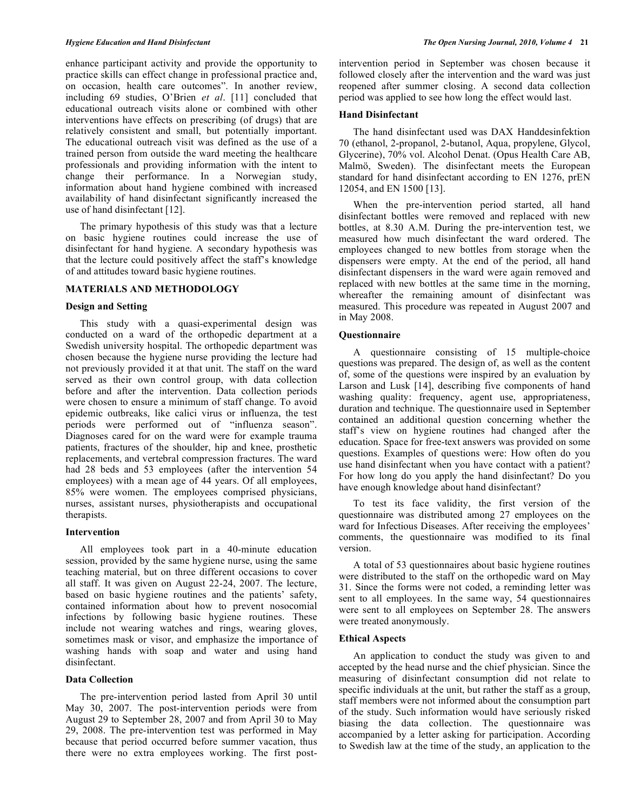enhance participant activity and provide the opportunity to practice skills can effect change in professional practice and, on occasion, health care outcomes". In another review, including 69 studies, O'Brien *et al*. [11] concluded that educational outreach visits alone or combined with other interventions have effects on prescribing (of drugs) that are relatively consistent and small, but potentially important. The educational outreach visit was defined as the use of a trained person from outside the ward meeting the healthcare professionals and providing information with the intent to change their performance. In a Norwegian study, information about hand hygiene combined with increased availability of hand disinfectant significantly increased the use of hand disinfectant [12].

 The primary hypothesis of this study was that a lecture on basic hygiene routines could increase the use of disinfectant for hand hygiene. A secondary hypothesis was that the lecture could positively affect the staff's knowledge of and attitudes toward basic hygiene routines.

## **MATERIALS AND METHODOLOGY**

## **Design and Setting**

 This study with a quasi-experimental design was conducted on a ward of the orthopedic department at a Swedish university hospital. The orthopedic department was chosen because the hygiene nurse providing the lecture had not previously provided it at that unit. The staff on the ward served as their own control group, with data collection before and after the intervention. Data collection periods were chosen to ensure a minimum of staff change. To avoid epidemic outbreaks, like calici virus or influenza, the test periods were performed out of "influenza season". Diagnoses cared for on the ward were for example trauma patients, fractures of the shoulder, hip and knee, prosthetic replacements, and vertebral compression fractures. The ward had 28 beds and 53 employees (after the intervention 54 employees) with a mean age of 44 years. Of all employees, 85% were women. The employees comprised physicians, nurses, assistant nurses, physiotherapists and occupational therapists.

## **Intervention**

 All employees took part in a 40-minute education session, provided by the same hygiene nurse, using the same teaching material, but on three different occasions to cover all staff. It was given on August 22-24, 2007. The lecture, based on basic hygiene routines and the patients' safety, contained information about how to prevent nosocomial infections by following basic hygiene routines. These include not wearing watches and rings, wearing gloves, sometimes mask or visor, and emphasize the importance of washing hands with soap and water and using hand disinfectant.

## **Data Collection**

 The pre-intervention period lasted from April 30 until May 30, 2007. The post-intervention periods were from August 29 to September 28, 2007 and from April 30 to May 29, 2008. The pre-intervention test was performed in May because that period occurred before summer vacation, thus there were no extra employees working. The first postintervention period in September was chosen because it followed closely after the intervention and the ward was just reopened after summer closing. A second data collection period was applied to see how long the effect would last.

## **Hand Disinfectant**

 The hand disinfectant used was DAX Handdesinfektion 70 (ethanol, 2-propanol, 2-butanol, Aqua, propylene, Glycol, Glycerine), 70% vol. Alcohol Denat. (Opus Health Care AB, Malmö, Sweden). The disinfectant meets the European standard for hand disinfectant according to EN 1276, prEN 12054, and EN 1500 [13].

 When the pre-intervention period started, all hand disinfectant bottles were removed and replaced with new bottles, at 8.30 A.M. During the pre-intervention test, we measured how much disinfectant the ward ordered. The employees changed to new bottles from storage when the dispensers were empty. At the end of the period, all hand disinfectant dispensers in the ward were again removed and replaced with new bottles at the same time in the morning, whereafter the remaining amount of disinfectant was measured. This procedure was repeated in August 2007 and in May 2008.

## **Questionnaire**

 A questionnaire consisting of 15 multiple-choice questions was prepared. The design of, as well as the content of, some of the questions were inspired by an evaluation by Larson and Lusk [14], describing five components of hand washing quality: frequency, agent use, appropriateness, duration and technique. The questionnaire used in September contained an additional question concerning whether the staff's view on hygiene routines had changed after the education. Space for free-text answers was provided on some questions. Examples of questions were: How often do you use hand disinfectant when you have contact with a patient? For how long do you apply the hand disinfectant? Do you have enough knowledge about hand disinfectant?

 To test its face validity, the first version of the questionnaire was distributed among 27 employees on the ward for Infectious Diseases. After receiving the employees' comments, the questionnaire was modified to its final version.

 A total of 53 questionnaires about basic hygiene routines were distributed to the staff on the orthopedic ward on May 31. Since the forms were not coded, a reminding letter was sent to all employees. In the same way, 54 questionnaires were sent to all employees on September 28. The answers were treated anonymously.

#### **Ethical Aspects**

 An application to conduct the study was given to and accepted by the head nurse and the chief physician. Since the measuring of disinfectant consumption did not relate to specific individuals at the unit, but rather the staff as a group, staff members were not informed about the consumption part of the study. Such information would have seriously risked biasing the data collection. The questionnaire was accompanied by a letter asking for participation. According to Swedish law at the time of the study, an application to the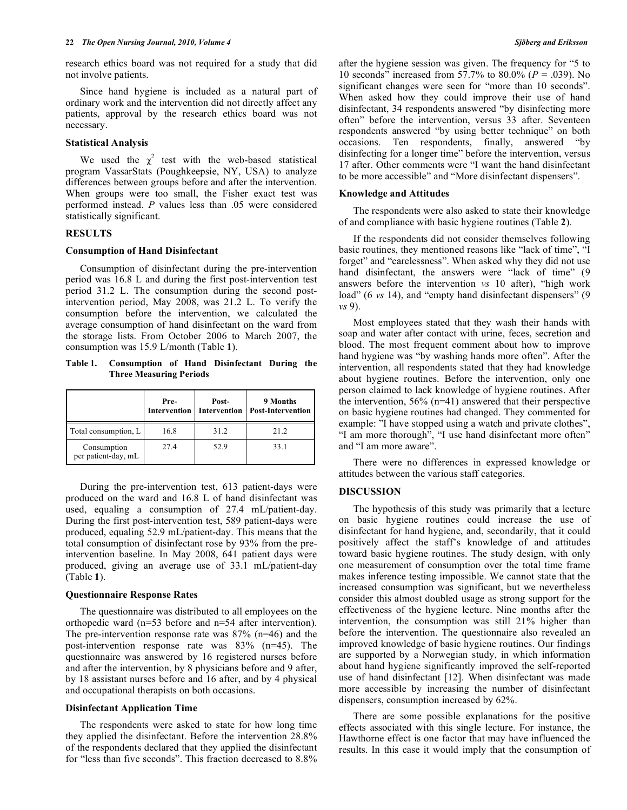research ethics board was not required for a study that did not involve patients.

 Since hand hygiene is included as a natural part of ordinary work and the intervention did not directly affect any patients, approval by the research ethics board was not necessary.

#### **Statistical Analysis**

We used the  $\chi^2$  test with the web-based statistical program VassarStats (Poughkeepsie, NY, USA) to analyze differences between groups before and after the intervention. When groups were too small, the Fisher exact test was performed instead. *P* values less than .05 were considered statistically significant.

## **RESULTS**

#### **Consumption of Hand Disinfectant**

 Consumption of disinfectant during the pre-intervention period was 16.8 L and during the first post-intervention test period 31.2 L. The consumption during the second postintervention period, May 2008, was 21.2 L. To verify the consumption before the intervention, we calculated the average consumption of hand disinfectant on the ward from the storage lists. From October 2006 to March 2007, the consumption was 15.9 L/month (Table **1**).

**Table 1. Consumption of Hand Disinfectant During the Three Measuring Periods** 

|                                    | Pre-<br>Intervention Intervention | Post- | 9 Months<br><b>Post-Intervention</b> |
|------------------------------------|-----------------------------------|-------|--------------------------------------|
| Total consumption, L               | 16.8                              | 31.2  | 21.2                                 |
| Consumption<br>per patient-day, mL | 27.4                              | 52.9  | 33.1                                 |

 During the pre-intervention test, 613 patient-days were produced on the ward and 16.8 L of hand disinfectant was used, equaling a consumption of 27.4 mL/patient-day. During the first post-intervention test, 589 patient-days were produced, equaling 52.9 mL/patient-day. This means that the total consumption of disinfectant rose by 93% from the preintervention baseline. In May 2008, 641 patient days were produced, giving an average use of 33.1 mL/patient-day (Table **1**).

#### **Questionnaire Response Rates**

 The questionnaire was distributed to all employees on the orthopedic ward (n=53 before and n=54 after intervention). The pre-intervention response rate was 87% (n=46) and the post-intervention response rate was 83% (n=45). The questionnaire was answered by 16 registered nurses before and after the intervention, by 8 physicians before and 9 after, by 18 assistant nurses before and 16 after, and by 4 physical and occupational therapists on both occasions.

## **Disinfectant Application Time**

 The respondents were asked to state for how long time they applied the disinfectant. Before the intervention 28.8% of the respondents declared that they applied the disinfectant for "less than five seconds". This fraction decreased to 8.8%

after the hygiene session was given. The frequency for "5 to 10 seconds" increased from 57.7% to 80.0% (*P* = .039). No significant changes were seen for "more than 10 seconds". When asked how they could improve their use of hand disinfectant, 34 respondents answered "by disinfecting more often" before the intervention, versus 33 after. Seventeen respondents answered "by using better technique" on both occasions. Ten respondents, finally, answered "by disinfecting for a longer time" before the intervention, versus 17 after. Other comments were "I want the hand disinfectant to be more accessible" and "More disinfectant dispensers".

#### **Knowledge and Attitudes**

 The respondents were also asked to state their knowledge of and compliance with basic hygiene routines (Table **2**).

 If the respondents did not consider themselves following basic routines, they mentioned reasons like "lack of time", "I forget" and "carelessness". When asked why they did not use hand disinfectant, the answers were "lack of time" (9) answers before the intervention *vs* 10 after), "high work load" (6 *vs* 14), and "empty hand disinfectant dispensers" (9 *vs* 9).

 Most employees stated that they wash their hands with soap and water after contact with urine, feces, secretion and blood. The most frequent comment about how to improve hand hygiene was "by washing hands more often". After the intervention, all respondents stated that they had knowledge about hygiene routines. Before the intervention, only one person claimed to lack knowledge of hygiene routines. After the intervention, 56% (n=41) answered that their perspective on basic hygiene routines had changed. They commented for example: "I have stopped using a watch and private clothes", "I am more thorough", "I use hand disinfectant more often" and "I am more aware".

 There were no differences in expressed knowledge or attitudes between the various staff categories.

## **DISCUSSION**

 The hypothesis of this study was primarily that a lecture on basic hygiene routines could increase the use of disinfectant for hand hygiene, and, secondarily, that it could positively affect the staff's knowledge of and attitudes toward basic hygiene routines. The study design, with only one measurement of consumption over the total time frame makes inference testing impossible. We cannot state that the increased consumption was significant, but we nevertheless consider this almost doubled usage as strong support for the effectiveness of the hygiene lecture. Nine months after the intervention, the consumption was still 21% higher than before the intervention. The questionnaire also revealed an improved knowledge of basic hygiene routines. Our findings are supported by a Norwegian study, in which information about hand hygiene significantly improved the self-reported use of hand disinfectant [12]. When disinfectant was made more accessible by increasing the number of disinfectant dispensers, consumption increased by 62%.

 There are some possible explanations for the positive effects associated with this single lecture. For instance, the Hawthorne effect is one factor that may have influenced the results. In this case it would imply that the consumption of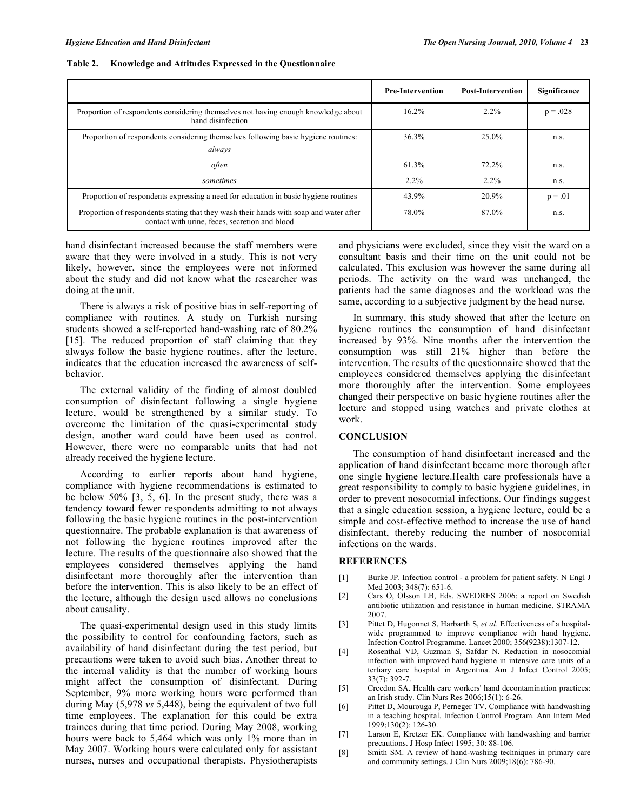|                                                                                                                                          | <b>Pre-Intervention</b> | <b>Post-Intervention</b> | Significance |
|------------------------------------------------------------------------------------------------------------------------------------------|-------------------------|--------------------------|--------------|
| Proportion of respondents considering themselves not having enough knowledge about<br>hand disinfection                                  | 16.2%                   | 2.2%                     | $p = .028$   |
| Proportion of respondents considering themselves following basic hygiene routines:<br>always                                             | 36.3%                   | $25.0\%$                 | n.s.         |
| <i>often</i>                                                                                                                             | 61.3%                   | 72.2%                    | n.s.         |
| sometimes                                                                                                                                | 2.2%                    | 2.2%                     | n.s.         |
| Proportion of respondents expressing a need for education in basic hygiene routines                                                      | 43.9%                   | 20.9%                    | $p = .01$    |
| Proportion of respondents stating that they wash their hands with soap and water after<br>contact with urine, feces, secretion and blood | 78.0%                   | 87.0%                    | n.s.         |

hand disinfectant increased because the staff members were aware that they were involved in a study. This is not very likely, however, since the employees were not informed about the study and did not know what the researcher was doing at the unit.

 There is always a risk of positive bias in self-reporting of compliance with routines. A study on Turkish nursing students showed a self-reported hand-washing rate of 80.2% [15]. The reduced proportion of staff claiming that they always follow the basic hygiene routines, after the lecture, indicates that the education increased the awareness of selfbehavior.

 The external validity of the finding of almost doubled consumption of disinfectant following a single hygiene lecture, would be strengthened by a similar study. To overcome the limitation of the quasi-experimental study design, another ward could have been used as control. However, there were no comparable units that had not already received the hygiene lecture.

 According to earlier reports about hand hygiene, compliance with hygiene recommendations is estimated to be below 50% [3, 5, 6]. In the present study, there was a tendency toward fewer respondents admitting to not always following the basic hygiene routines in the post-intervention questionnaire. The probable explanation is that awareness of not following the hygiene routines improved after the lecture. The results of the questionnaire also showed that the employees considered themselves applying the hand disinfectant more thoroughly after the intervention than before the intervention. This is also likely to be an effect of the lecture, although the design used allows no conclusions about causality.

 The quasi-experimental design used in this study limits the possibility to control for confounding factors, such as availability of hand disinfectant during the test period, but precautions were taken to avoid such bias. Another threat to the internal validity is that the number of working hours might affect the consumption of disinfectant. During September, 9% more working hours were performed than during May (5,978 *vs* 5,448), being the equivalent of two full time employees. The explanation for this could be extra trainees during that time period. During May 2008, working hours were back to 5,464 which was only 1% more than in May 2007. Working hours were calculated only for assistant nurses, nurses and occupational therapists. Physiotherapists

and physicians were excluded, since they visit the ward on a consultant basis and their time on the unit could not be calculated. This exclusion was however the same during all periods. The activity on the ward was unchanged, the patients had the same diagnoses and the workload was the same, according to a subjective judgment by the head nurse.

 In summary, this study showed that after the lecture on hygiene routines the consumption of hand disinfectant increased by 93%. Nine months after the intervention the consumption was still 21% higher than before the intervention. The results of the questionnaire showed that the employees considered themselves applying the disinfectant more thoroughly after the intervention. Some employees changed their perspective on basic hygiene routines after the lecture and stopped using watches and private clothes at work.

## **CONCLUSION**

 The consumption of hand disinfectant increased and the application of hand disinfectant became more thorough after one single hygiene lecture.Health care professionals have a great responsibility to comply to basic hygiene guidelines, in order to prevent nosocomial infections. Our findings suggest that a single education session, a hygiene lecture, could be a simple and cost-effective method to increase the use of hand disinfectant, thereby reducing the number of nosocomial infections on the wards.

## **REFERENCES**

- [1] Burke JP. Infection control a problem for patient safety. N Engl J Med 2003; 348(7): 651-6.
- [2] Cars O, Olsson LB, Eds. SWEDRES 2006: a report on Swedish antibiotic utilization and resistance in human medicine. STRAMA 2007.
- [3] Pittet D, Hugonnet S, Harbarth S, *et al*. Effectiveness of a hospitalwide programmed to improve compliance with hand hygiene. Infection Control Programme. Lancet 2000; 356(9238):1307-12.
- [4] Rosenthal VD, Guzman S, Safdar N. Reduction in nosocomial infection with improved hand hygiene in intensive care units of a tertiary care hospital in Argentina. Am J Infect Control 2005; 33(7): 392-7.
- [5] Creedon SA. Health care workers' hand decontamination practices: an Irish study. Clin Nurs Res 2006;15(1): 6-26.
- [6] Pittet D, Mourouga P, Perneger TV. Compliance with handwashing in a teaching hospital. Infection Control Program. Ann Intern Med 1999;130(2): 126-30.
- [7] Larson E, Kretzer EK. Compliance with handwashing and barrier precautions. J Hosp Infect 1995; 30: 88-106.
- [8] Smith SM. A review of hand-washing techniques in primary care and community settings. J Clin Nurs 2009;18(6): 786-90.